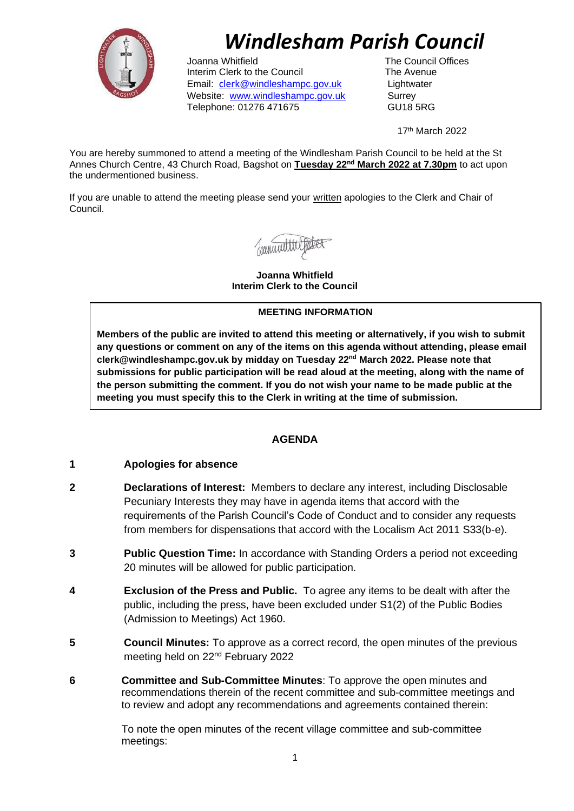

# *Windlesham Parish Council*<br>The Council Offices

Interim Clerk to the Council **The Avenue** Email: [clerk](mailto:clerk@windleshampc.gov.uk)[@windleshampc.gov.uk](mailto:clerk@windleshampc.gov.uk) Lightwater Website: [www.windleshampc.gov.uk](http://www.windleshampc.gov.uk/) Surrey<br>Telephone: 01276 471675 GU18 5RG Telephone: 01276 471675

**The Council Offices** 

17 th March 2022

You are hereby summoned to attend a meeting of the Windlesham Parish Council to be held at the St Annes Church Centre, 43 Church Road, Bagshot on **Tuesday 22nd March 2022 at 7.30pm** to act upon the undermentioned business.

If you are unable to attend the meeting please send your written apologies to the Clerk and Chair of Council.

Joannattette

**Joanna Whitfield Interim Clerk to the Council**

#### **MEETING INFORMATION**

**Members of the public are invited to attend this meeting or alternatively, if you wish to submit any questions or comment on any of the items on this agenda without attending, please email clerk@windleshampc.gov.uk by midday on Tuesday 22nd March 2022. Please note that submissions for public participation will be read aloud at the meeting, along with the name of the person submitting the comment. If you do not wish your name to be made public at the meeting you must specify this to the Clerk in writing at the time of submission.**

## **AGENDA**

## **1 Apologies for absence**

- **2 Declarations of Interest:** Members to declare any interest, including Disclosable Pecuniary Interests they may have in agenda items that accord with the requirements of the Parish Council's Code of Conduct and to consider any requests from members for dispensations that accord with the Localism Act 2011 S33(b-e).
- **3 Public Question Time:** In accordance with Standing Orders a period not exceeding 20 minutes will be allowed for public participation.
- **4 Exclusion of the Press and Public.** To agree any items to be dealt with after the public, including the press, have been excluded under S1(2) of the Public Bodies (Admission to Meetings) Act 1960.
- **5 Council Minutes:** To approve as a correct record, the open minutes of the previous meeting held on 22nd February 2022
- **6 Committee and Sub-Committee Minutes**: To approve the open minutes and recommendations therein of the recent committee and sub-committee meetings and to review and adopt any recommendations and agreements contained therein:

To note the open minutes of the recent village committee and sub-committee meetings: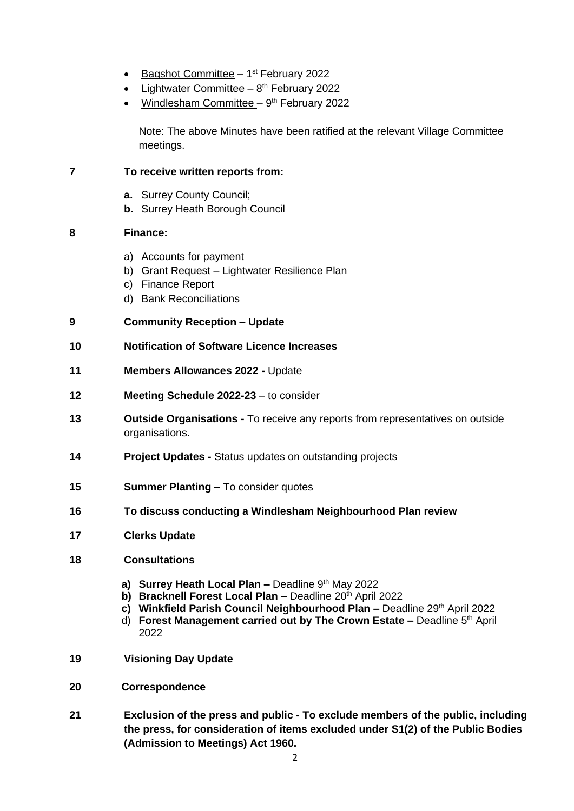- Bagshot Committee 1<sup>st</sup> February 2022
- Lightwater Committee 8<sup>th</sup> February 2022
- Windlesham Committee 9<sup>th</sup> February 2022

Note: The above Minutes have been ratified at the relevant Village Committee meetings.

## **7 To receive written reports from:**

- **a.** Surrey County Council;
- **b.** Surrey Heath Borough Council

#### **8 Finance:**

- a) Accounts for payment
- b) Grant Request Lightwater Resilience Plan
- c) Finance Report
- d) Bank Reconciliations
- **9 Community Reception – Update**
- **10 Notification of Software Licence Increases**
- **11 Members Allowances 2022 -** Update
- **12 Meeting Schedule 2022-23**  to consider
- **13 Outside Organisations -** To receive any reports from representatives on outside organisations.
- **14 Project Updates -** Status updates on outstanding projects
- **15 Summer Planting –** To consider quotes
- **16 To discuss conducting a Windlesham Neighbourhood Plan review**
- **17 Clerks Update**
- **18 Consultations**
	- **a) Surrey Heath Local Plan –** Deadline 9th May 2022
	- **b) Bracknell Forest Local Plan** Deadline 20<sup>th</sup> April 2022
	- **c) Winkfield Parish Council Neighbourhood Plan –** Deadline 29<sup>th</sup> April 2022
	- d) **Forest Management carried out by The Crown Estate –** Deadline 5th April 2022
- **19 Visioning Day Update**
- **20 Correspondence**
- **21 Exclusion of the press and public - To exclude members of the public, including the press, for consideration of items excluded under S1(2) of the Public Bodies (Admission to Meetings) Act 1960.**